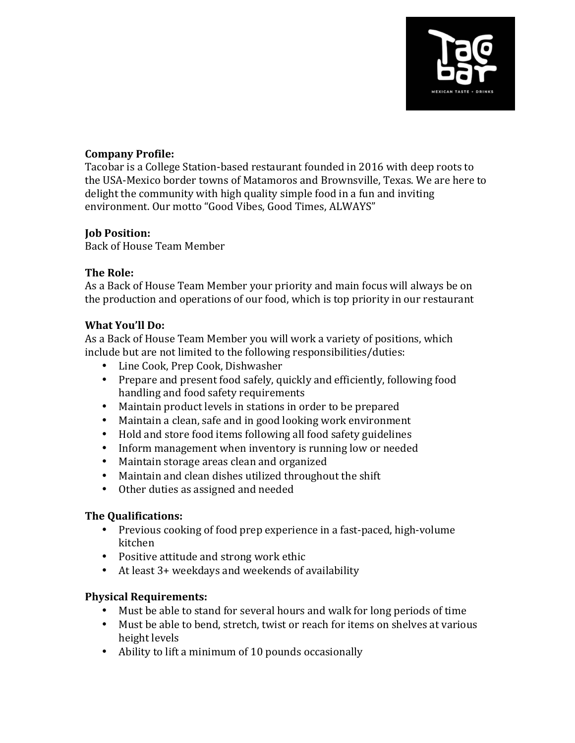

# **Company Profile:**

Tacobar is a College Station-based restaurant founded in 2016 with deep roots to the USA-Mexico border towns of Matamoros and Brownsville, Texas. We are here to delight the community with high quality simple food in a fun and inviting environment. Our motto "Good Vibes, Good Times, ALWAYS"

## **Job Position:**

Back of House Team Member

## **The Role:**

As a Back of House Team Member your priority and main focus will always be on the production and operations of our food, which is top priority in our restaurant

#### **What You'll Do:**

As a Back of House Team Member you will work a variety of positions, which include but are not limited to the following responsibilities/duties:

- Line Cook, Prep Cook, Dishwasher
- Prepare and present food safely, quickly and efficiently, following food handling and food safety requirements
- Maintain product levels in stations in order to be prepared
- Maintain a clean, safe and in good looking work environment
- Hold and store food items following all food safety guidelines
- Inform management when inventory is running low or needed
- Maintain storage areas clean and organized
- Maintain and clean dishes utilized throughout the shift
- Other duties as assigned and needed

## **The Qualifications:**

- Previous cooking of food prep experience in a fast-paced, high-volume kitchen
- Positive attitude and strong work ethic
- At least 3+ weekdays and weekends of availability

## **Physical Requirements:**

- Must be able to stand for several hours and walk for long periods of time
- Must be able to bend, stretch, twist or reach for items on shelves at various height levels
- Ability to lift a minimum of 10 pounds occasionally